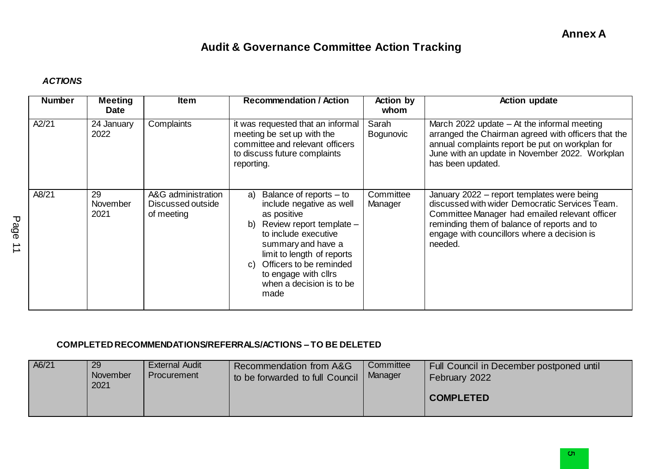## **Audit & Governance Committee Action Tracking**

## *ACTIONS*

| <b>Number</b> | <b>Meeting</b><br><b>Date</b> | <b>Item</b>                                           | <b>Recommendation / Action</b>                                                                                                                                                                                                                                                   | <b>Action by</b><br>whom | <b>Action update</b>                                                                                                                                                                                                                                    |
|---------------|-------------------------------|-------------------------------------------------------|----------------------------------------------------------------------------------------------------------------------------------------------------------------------------------------------------------------------------------------------------------------------------------|--------------------------|---------------------------------------------------------------------------------------------------------------------------------------------------------------------------------------------------------------------------------------------------------|
| A2/21         | 24 January<br>2022            | Complaints                                            | it was requested that an informal<br>meeting be set up with the<br>committee and relevant officers<br>to discuss future complaints<br>reporting.                                                                                                                                 | Sarah<br>Bogunovic       | March 2022 update $-$ At the informal meeting<br>arranged the Chairman agreed with officers that the<br>annual complaints report be put on workplan for<br>June with an update in November 2022. Workplan<br>has been updated.                          |
| A8/21         | 29<br>November<br>2021        | A&G administration<br>Discussed outside<br>of meeting | Balance of reports – to<br>a)<br>include negative as well<br>as positive<br>Review report template -<br>b)<br>to include executive<br>summary and have a<br>limit to length of reports<br>c) Officers to be reminded<br>to engage with cllrs<br>when a decision is to be<br>made | Committee<br>Manager     | January 2022 - report templates were being<br>discussed with wider Democratic Services Team.<br>Committee Manager had emailed relevant officer<br>reminding them of balance of reports and to<br>engage with councillors where a decision is<br>needed. |

## **COMPLETED RECOMMENDATIONS/REFERRALS/ACTIONS – TO BE DELETED**

| A6/21 | 29<br>November<br>2021 | <b>External Audit</b><br>Procurement | Recommendation from A&G<br>to be forwarded to full Council | Committee<br>Manager | Full Council in December postponed until<br>February 2022 |
|-------|------------------------|--------------------------------------|------------------------------------------------------------|----------------------|-----------------------------------------------------------|
|       |                        |                                      |                                                            |                      | <b>COMPLETED</b>                                          |